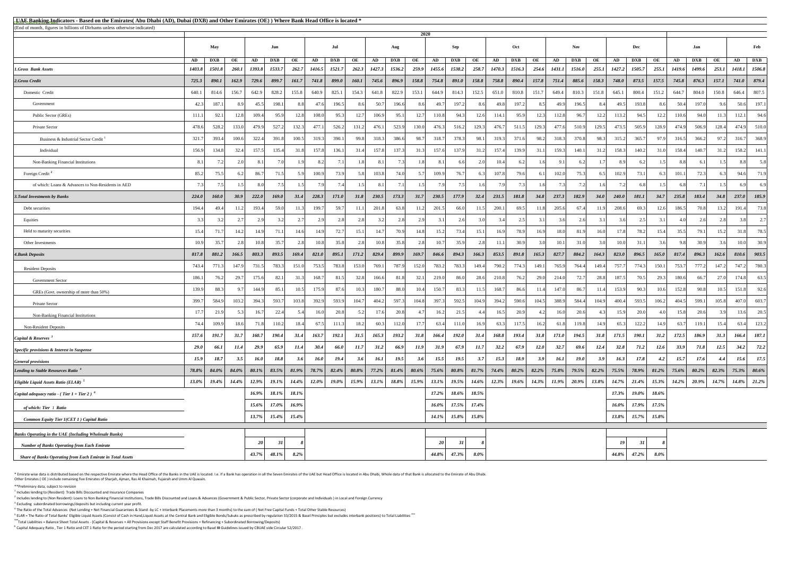<sup>5</sup> ELAR = The Ratio of Total Banks' Eligible Liquid Assets (Consist of Cash in Hand,Liquid Assets at the Central Bank and Eligible Bonds/Sukuks as prescribed by regulation 33/2015 & Basel Principles but excludes interbank **\*\*\***Total Liabilities = Balance Sheet Total Assets - (Capital & Reserves + All Provisions except Staff Benefit Provisions + Refinancing + Subordinated Borrowing/Deposits)

\* Emirate wise data is distributed based on the respective Emirate where the Head Office of the Banks in the UAE is located. I.e. If a Bank has operation in all the Seven Emirates of the UAE but Head Office is located in A Other Emirates ( OE ) include remaining five Emirates of Sharjah, Ajman, Ras Al Khaimah, Fujairah and Umm Al Quwain.

| <b>EUAE Banking Indicators - Based on the Emirates</b> (Abu Dhabi (AD), Dubai (DXB) and Other Emirates (OE)) Where Bank Head Office is located * |               |              |              |              |            |          |             |                |              |          |            |          |                 |            |          |          |             |             |             |               |          |          |              |          |               |            |          |        |                |
|--------------------------------------------------------------------------------------------------------------------------------------------------|---------------|--------------|--------------|--------------|------------|----------|-------------|----------------|--------------|----------|------------|----------|-----------------|------------|----------|----------|-------------|-------------|-------------|---------------|----------|----------|--------------|----------|---------------|------------|----------|--------|----------------|
| (End of month, figures in billions of Dirhams unless otherwise indicated)                                                                        |               |              |              |              |            |          |             |                |              |          |            | 2020     |                 |            |          |          |             |             |             |               |          |          |              |          |               |            |          |        |                |
|                                                                                                                                                  |               | <b>May</b>   |              |              | Jun        |          |             | Jul            |              |          | Aug        |          |                 | Sep        |          |          | Oct         |             |             | <b>Nov</b>    |          |          | Dec          |          |               | Jan        |          |        | Feb            |
|                                                                                                                                                  | AD            | <b>DXB</b>   | OE           | AD           | <b>DXB</b> | OE       | AD          | <b>DXB</b>     | OE           | AD       | <b>DXB</b> | OE       | AD              | <b>DXB</b> | OE       | AD       | <b>DXB</b>  | OE          | AD          | <b>DXB</b>    | OE       | AD       | <b>DXB</b>   | OE       | AD            | <b>DXB</b> | OE       | AD     | <b>DXB</b>     |
| <b>1.Gross Bank Assets</b>                                                                                                                       | <b>1403.8</b> | 1501.8       | <b>260.1</b> | 1393.8       | 1533.7     | 262.7    | 1416.5      | 1521.7         | 262.3        | 1427.3   | 1536.2     | 259.9    | 1455.6          | 1538.2     | 258.7    | 1470.3   | 1516.3      | 254.6       | 1431.1      | <i>1516.0</i> | 255.1    | 1427.2   | 1505.7       | 255.1    | <b>1419.6</b> | 1499.6     | 253.1    | 1418.1 | 1506.8         |
| 2.Gross Credit                                                                                                                                   | 725.3         | 890.1        | 162.9        | 729.6        | 899.7      | 161.7    | 741.8       | 899.0          | <b>160.1</b> | 745.6    | 896.9      | 158.8    | 754.8           | 891.0      | 158.8    | 758.8    | 890.4       | 157.8       | 751.4       | 885.6         | 158.3    | 748.0    | 873.5        | 157.5    | 745.8         | 876.3      | 157.1    | 741.0  | 879.4          |
| Domestic Credit                                                                                                                                  | 640.1         | 814.6        | 156.7        | 642.9        | 828.2      | 155.8    | 640.9       | 825.1          | 154.3        | 641.8    | 822.9      | 153.1    | 644.9           | 814.3      | 152.5    | 651.0    | 810.8       | 151.7       | 649.4       | 810.3         | 151.8    | 645.1    | 800.4        | 151.2    | 644.7         | 804.0      | 150.8    | 646.4  | 807.5          |
| Government                                                                                                                                       | 42.3          | 187.1        |              | 45.5         | 198.1      | 8 S      | 47.6        | 196.5          | 8.6          | 50.7     | 196.6      | 8.6      | 49.7            | 197.2      | 8.6      | 49.8     | 197.2       | 8.5         | 49.9        | 196.5         | 8.4      | 49.5     | 193.8        | 8.61     | 50.4          | 197.0      | 96       | 50.6   | 197.1          |
| Public Sector (GREs)                                                                                                                             | 111.1         | 92.1         | 12.8         | 109.4        | 95.9       | 12.8     | 108.0       | 95.3           | 12.7         | 106.9    | 95.1       | 12.7     | 110.8           | 94.3       | 12.6     | 114.1    | 95.9        | 12.3        | 112.8       | 96.7          | 12.2     | 113.2    | 94.5         | 12.2     | 110.6         | 94.0       | 11.3     | 112.1  | 94.6           |
| Private Sector                                                                                                                                   | 478.6         | 528.2        | 133.0        | 479.9        | 527.2      | 132.3    | 477.1       | 526.2          | 131.2        | 476.1    | 523.9      | 130.0    | 476.3           | 516.2      | 129.3    | 476.7    | 511.5       | 129.3       | 477.6       | 510.9         | 129.5    | 473.5    | 505.9        | 128.9    | 474.9         | 506.9      | 128.4    | 474.9  | 510.0          |
| Business & Industrial Sector Credit <sup>1</sup>                                                                                                 | 321.7         | 393.4        | 100.6        | 322.4        | 391.8      | 100.5    | 319.3       | 390.1          | 99.8         | 318.3    | 386.6      | 98.7     | 318.7           | 378.3      | 98.1     | 319.3    | 371.6       | 98.2        | 318.3       | 370.8         | 98.3     | 315.2    | 365.7        | 97.9     | 316.5         | 366.2      | 97.2     | 316.7  | 368.9          |
| Individual                                                                                                                                       | 156.9         | 134.8        | 32.4         | 157.5        | 135.4      | 31.8     | 157.8       | 136.1          | 31.4         | 157.8    | 137.3      | 31.3     | 157.6           | 137.9      | 31.2     | 157.4    | 139.9       | 31.1        | 159.3       | 140.1         | 31.2     | 158.3    | 140.2        | 31.0     | 158.4         | 140.7      | 31.2     | 158.2  | 141.1          |
| <b>Non-Banking Financial Institutions</b>                                                                                                        | 8.1           |              |              | $\mathbf{R}$ | 7.0        |          | 8.2         | 7.1            |              | 8.1      |            |          | 8.1             | 6.6        |          | 10.4     |             |             |             |               |          |          |              |          |               |            |          | 8.8    | 5.8            |
| Foreign Credit <sup>2</sup>                                                                                                                      | 85.2          | 75.5         |              | 86.7         | 71.5       | 59       | 100.9       | 73.9           |              | 103.8    | 74.0       |          | 109.9           | 76.7       |          | 107.8    | 79.6        |             | 102.0       | 75.3          |          | 102.9    | 73.1         |          | 101.1         | 72.3       | 631      | 94.6   | 71.9           |
| of which: Loans & Advances to Non-Residents in AED                                                                                               |               |              |              |              |            |          | 7.9         | 7 <sub>4</sub> |              | 8.1      | 7.1        |          | 7.9             | 7.5        |          |          |             |             |             |               |          | 7.2      |              |          |               |            |          | 6.9    | 6.9            |
| <b>3. Total Investments by Banks</b>                                                                                                             | 224.0         | <b>160.0</b> | 30.9         | 222.0        | 169.0      | 31.4     | 228.3       | <i>171.0</i>   | 31.8         | 230.5    | 173.3      | 31.7     | 230.5           | 177.9      | 32.4     | 231.5    | 181.8       | 34.8        | 237.3       | 182.9         | 34.0     | 240.0    | <i>181.1</i> | 34.7     | 235.8         | 183.4      | 34.8     | 237.0  | 185.9          |
| Debt securities                                                                                                                                  | 194.4         |              | 11.2         | 193.4        | 59.0       | 11.3     | 199.7       | 59.7           | 11.1         | 201.8    | 63.8       | 11.2     | 201.5           | 66.0       | 11.5     | 200.1    | 69.5        | 11.8        | 205.6       | 67.4          | 11.9     | 208.6    | 69.3         | 12.6     | 186.5         | 70.8       | 13.2     | 191.4  | 73.8           |
| Equities                                                                                                                                         |               |              |              |              |            |          | 2.9         | 2.8            |              |          | 2.8        | 2.9      | 3.1             | 2.6        |          |          |             |             |             | 2.6           |          |          | 2.5          |          |               | 2.6        | 2.8      | 3.8    | 2.7            |
| Held to maturity securities                                                                                                                      | 15.4          |              | 14.2         | 14.9         | 71.1       | 14.6     | 14.9        | 72.7           | 15.1         | 14.7     | 70.9       | 14.8     | 15.2            | 73.4       | 15.1     | 16.9     | 78.9        | 16.9        | 18.0        | 81.9          | 16.0     | 17.8     | 78.2         | 15.4     | 35.5          | 79.1       | 15.2     | 31.8   | 78.5           |
| Other Investments                                                                                                                                | 10.9          |              |              | 10.8         | 35.7       |          | 10.8        | 35.8           |              | 10.8     | 35.8       | 2.8      | 10.7            | 35.9       |          |          | 30.9        |             | 10.1        | 31.0          |          | 10.0     | 31.1         |          |               | 30.9       |          | 10.0   | 30.9           |
| <b>4. Bank Deposits</b>                                                                                                                          | 817.8         | 881.2        | 166.5        | 803.3        | 893.5      | 169.4    | 821.0       | 895.1          | 171.2        | 829.4    | 899.9      | 169.7    | 846.6           | 894.3      | 166.3    | 853.5    | 891.8       | 165.3       | 827.7       | 884.2         | 164.3    | 823.0    | 896.5        | 165.0    | 817.4         | 896.3      | 162.6    | 810.6  | 903.5          |
| <b>Resident Deposits</b>                                                                                                                         | 743.4         | 771.3        | 147.9        | 731.5        | 783.3      | 151.0    | 753.5       | 783.8          | 153.0        | 769.1    | 787.9      | 152.0    | 783.2           | 783.3      | 149.4    | 790.2    | 774.3       | 149.1       | 765.9       | 764.4         | 149.4    | 757.7    | 774.3        | 150.1    | 753.7         | 777.2      | 147.2    | 747.2  | 780.3          |
| <b>Government Sector</b>                                                                                                                         | 186.1         | 76.2         | 29.7         | 175.6        | 82.1       | 31.3     | 168.7       | 81.5           | 32.8         | 166.6    | 81.8       | 32.1     | 219.0           | 86.0       | 28.6     | 210.8    | 76.2        | 29.0        | 214.0       | 72.7          | 28.8     | 187.5    | 70.5         | 29.3     | 180.6         | 66.7       | 27.0     | 174.8  | 63.5           |
| GREs (Govt. ownership of more than 50%)                                                                                                          | 139.9         | 88.3         |              | 144.9        | 85.1       | 10.5     | 175.9       | 87.6           | 10.3         | 180.7    | 88.0       | 10.4     | 150.7           | 83.3       | 11.5     | 168.7    | 86.6        | 11.4        | 147.0       | 86.7          | 11.4     | 153.9    | 90.3         | 10.6     | 152.8         | 90.8       | 10.5     | 151.8  | 92.6           |
| Private Sector                                                                                                                                   | 399.7         | 584.9        | 103.2        | 394.3        | 593.7      | 103.8    | 392.9       | 593.9          | 104.7        | 404.2    | 597.3      | 104.8    | 397.3           | 592.5      | 104.9    | 394.2    | 590.6       | 104.5       | 388.9       | 584.4         | 104.9    | 400.4    | 593.5        | 106.2    | 404.5         | 599.1      | 105.8    | 407.0  | 603.7          |
| Non-Banking Financial Institutions                                                                                                               | 17.7          | 21.9         |              | 16.7         | 22.4       |          | 16.0        | 20.8           |              | 17.6     | 20.8       |          | 16.2            | 21.5       |          | 16.5     | 20.9        |             | 16.0        | 20.6          |          | 15.9     | 20.0         |          | 15.8          | 20.6       | 3.9      | 13.6   | 20.5           |
| <b>Non-Resident Deposits</b>                                                                                                                     | 74.4          | 109.9        | 18.6         | 71.8         | 110.2      | 18.4     | 67.5        | 111.3          | 18.2         | 60.3     | 112.0      | 17.7     | 63.4            | 111.0      | 16.9     | 63.3     | 117.5       | 16.2        | 61.8        | 119.8         | 14.9     | 65.3     | 122.2        | 14.9     | 63.7          | 119.1      | 15.4     | 63.4   | 123.2          |
| <i>Capital &amp; Reserves</i> $3$                                                                                                                | 157.6         | 191.7        | 31.7         | 160.7        | 190.4      | 31.4     | 163.7       | 192.1          | 31.5         | 165.3    | 193.2      | 31.8     | 166.4           | 192.0      | 31.4     | 168.8    | 193.4       | 31.8        | 171.0       | 194.5         | 31.8     | 171.5    | <b>190.1</b> | 31.2     | 172.5         | 186.9      | 31.3     | 166.4  | 187.1          |
| Specific provisions & Interest in Suspense                                                                                                       | <b>29.0</b>   | 66.1         |              | 29.9         | 65.9       | 11.4     | 30.4        | 66.0           | 11.7         | 31.2     | 66.9       | 11.9     | 31.9            | 67.9       | 11.7     | 32.2     | 67.9        | <b>12.0</b> | 32.7        | 69.6          | 12.4     | 32.8     | 71.2         | 12.6     | 33.9          | 71.8       | 12.5     | 34.2   | 72.2           |
| <b>General provisions</b>                                                                                                                        | 15.9          | 18.7         | 3.5          | <b>16.0</b>  | 18.8       | 3.6      | <b>16.0</b> | <b>19.4</b>    | 3.6          | 16.1     | 19.5       | 3.6      | 15.5            | 19.5       | 3.7      | 15.3     | <b>18.9</b> | 3.9         | <b>16.1</b> | <b>19.0</b>   | 3.9      | 16.3     | 17.8         | 4.2      | 15.7          | 17.6       | 4.4      | 15.6   | 17.5           |
| Lending to Stable Resources Ratio <sup>4</sup>                                                                                                   | 78.8%         | 84.0%        | $84.0\%$     | $80.1\%$     | 83.5%      | $81.9\%$ | 78.7%       | $82.4\%$       | $80.8\%$     | $77.2\%$ | $81.4\%$   | $80.6\%$ | $75.6\%$        | $80.8\%$   | $81.7\%$ | $74.4\%$ | $80.2\%$    | $82.2\%$    | $75.8\%$    | $79.5\%$      | $82.2\%$ | 75.5%    | 78.9%        | $81.2\%$ | $75.6\%$      | $80.2\%$   | $82.3\%$ |        | 75.3% 80.6%    |
| Eligible Liquid Assets Ratio (ELAR)                                                                                                              | 13.0%         | 19.4%        | 14.4%        | 12.9%        | 19.1%      | 14.4%    | $12.0\%$    | 19.0%          | $15.9\%$     | $13.1\%$ | 18.8%      | $15.9\%$ | $13.1\%$        | 19.5%      | 14.6%    | 12.3%    | $19.6\%$    | $14.3\%$    | 11.9%       | $20.9\%$      | 13.8%    | 14.7%    | $21.4\%$     | $15.3\%$ | $14.2\%$      | 20.9%      | 14.7%    |        | $14.8\%$ 21.2% |
| <i>Capital adequacy ratio - (Tier 1 + Tier 2)</i> $\delta$                                                                                       |               |              |              | 16.9%        | 18.1%      | 18.1%    |             |                |              |          |            |          | $17.2\%$        | 18.6%      | 18.5%    |          |             |             |             |               |          | $17.3\%$ | 19.0%        | 18.6%    |               |            |          |        |                |
| of which: Tier 1 Ratio                                                                                                                           |               |              |              | 15.6%        | 17.0%      | 16.9%    |             |                |              |          |            |          | $16.0\%$        | 17.5%      | 17.4%    |          |             |             |             |               |          | 16.0%    | 17.9%        | 17.5%    |               |            |          |        |                |
| <b>Common Equity Tier 1(CET 1) Capital Ratio</b>                                                                                                 |               |              |              | 13.7%        | 15.4%      | 15.4%    |             |                |              |          |            |          | 14.1%           | $15.8\%$   | $15.8\%$ |          |             |             |             |               |          | 13.8%    | $15.7\%$     | 15.8%    |               |            |          |        |                |
| <b>Banks Operating in the UAE (Including Wholesale Banks)</b>                                                                                    |               |              |              |              |            |          |             |                |              |          |            |          |                 |            |          |          |             |             |             |               |          |          |              |          |               |            |          |        |                |
| <b>Number of Banks Operating from Each Emirate</b>                                                                                               |               |              |              | 20           | 31         |          |             |                |              |          |            |          | 20 <sup>°</sup> | 31         |          |          |             |             |             |               |          | 19       |              |          |               |            |          |        |                |
| <b>Share of Banks Operating from Each Emirate in Total Assets</b>                                                                                |               |              |              | 43.7%        | 48.1%      | $8.2\%$  |             |                |              |          |            |          | 44.8%           | $47.3\%$   | $8.0\%$  |          |             |             |             |               |          | 44.8%    | 47.2%        | $8.0\%$  |               |            |          |        |                |

\*\*Preliminary data, subject to revision

 $<sup>1</sup>$  Includes lending to (Resident): Trade Bills Discounted and Insurance Companies</sup>

<sup>2</sup> Includes lending to (Non Resident): Loans to Non Banking Financial Institutions, Trade Bills Discounted and Loans & Advances (Government & Public Sector, Private Sector (corporate and Individuals) in Local and Foreign  $3$  Excluding subordinated borrowings/deposits but including current year profit.

 $^4$  The Ratio of the Total Advances (Net Lending + Net Financial Guarantees & Stand -by LC + Interbank Placements more than 3 months) to the sum of (Net Free Capital Funds + Total Other Stable Resources)

<sup>6</sup>Capital Adequacy Ratio , Tier 1 Ratio and CET 1 Ratio for the period starting from Dec 2017 are calculated according to Basel **III** Guidelines issued by CBUAE vide Circular 52/2017 .